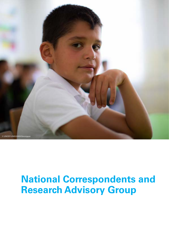

# **National Correspondents and Research Advisory Group**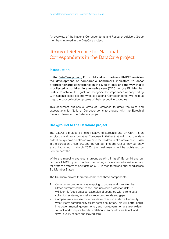An overview of the National Correspondents and Research Advisory Group members involved in the DataCare project.

### Terms of Reference for National Correspondents in the DataCare project

### **Introduction**

In the [DataCare project](https://www.eurochild.org/initiative/datacare/), Eurochild and our partners UNICEF envision the development of comparable benchmark indicators to enact progress towards convergence in the type of data and the way that it is collected on children in alternative care (CiAC) across EU Member States. To achieve this goal, we recognise the importance of cooperating with national-based experts who, as National Correspondents, will help us 'map the data collection systems of their respective countries.

This document outlines a Terms of Reference to detail the roles and expectations for National Correspondents to engage with the Eurochild Research Team for the DataCare project.

### **Background to the DataCare project**

The DataCare project is a joint initiative of Eurochild and UNICEF. It is an ambitious and transformative European initiative that will map the data collection systems on alternative care for children in alternative care (CiAC) in the European Union (EU) and the United Kingdom (UK) as they currently exist. Launched in March 2020, the final results will be published by September 2021.

While the mapping exercise is groundbreaking in itself, Eurochild and our partners UNICEF plan to utilize the findings for evidence-based advocacy for systemic reform of how data on CiAC is monitored and published across EU Member States.

The DataCare project therefore comprises three components:

- 1. Carry out a comprehensive mapping to understand how Member States currently collect, report, and use child protection data. It will identify 'good practice' examples of countries with strong data collection systems, as well as important trends and gaps.
- 2. Comparatively analyse countries' data collection systems to identify what, if any, comparability exists across countries. This will better equip intergovernmental, governmental, and non-governmental stakeholders to track and compare trends in relation to entry into care (stock and flow), quality of care and leaving care.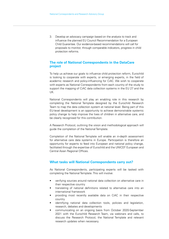3. Develop an advocacy campaign based on the analysis to track and influence the planned EU Council Recommendation for a European Child Guarantee. Our evidence-based recommendations will call for proposals to monitor, through comparable indicators, progress in child protection reforms.

### **The role of National Correspondents in the DataCare project**

To help us achieve our goals to influence child protection reform, Eurochild is looking to cooperate with experts, or emerging experts, in the field of academic research and policy-influencing for CiAC. We wish to cooperate with experts as National Correspondents from each country of the study to support the mapping of CiAC data collection systems in the EU 27 and the UK.

National Correspondents will play an enabling role in this research by completing the National Template designed by the Eurochild Research Team to map the data collection system at national level. Being part of this EU-level development is an opportunity to achieve demonstrable systemic policy change to help improve the lives of children in alternative care, and be clearly recognised for this contribution.

A Research Protocol, outlining the vision and methodological approach will guide the completion of the National Template.

Completion of the National Template will enable an in-depth assessment for alternative care data systems in Europe. Participation is therefore an opportunity for experts to feed into European and national policy change, facilitated through the expertise of Eurochild and the UNICEF European and Central Asian Regional Offices.

### **What tasks will National Correspondents carry out?**

As National Correspondents, participating experts will be tasked with completing the National Template. This will involve:

- verifying sources around national data collection on alternative care in their respective country
- translating of national definitions related to alternative care into an international framework
- providing most recently available data on CiAC in their respective country
- identifying national data collection tools, policies and legislation, research, debates and developments
- communicating on an ongoing basis from October 2020-September 2021 with the Eurochild Research Team, via webinars and calls, to discuss the Research Protocol, the National Template and relevant research updates when necessary.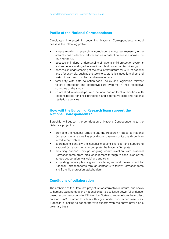### **Profile of the National Correspondents**

Candidates interested in becoming National Correspondents should possess the following profile:

- already working in research, or completing early-career research, in the area of child protection reform and data collection analysis across the EU and the UK
- possess an in-depth understanding of national child protection systems and an understanding of international child protection terminology
- possess an understanding of the data infrastructure for CiAC at national level, for example, such as the tools (e.g. statistical questionnaires) and instructions used to collect and evaluate data
- familiarity with data collection tools, policy and legislation relevant to child protection and alternative care systems in their respective countries of the study
- established relationships with national and/or local authorities with responsibilities for child protection and alternative care and national statistical agencies.

### **How will the Eurochild Research Team support the National Correspondents?**

Eurochild will support the contribution of National Correspondents to the DataCare project by:

- providing the National Template and the Research Protocol to National Correspondents, as well as providing an overview of its use through an introductory webinar
- coordinating centrally the national mapping exercise, and supporting National Correspondents to complete the National Template
- providing support through ongoing communication with National Correspondents, from initial engagement through to conclusion of the agreed cooperation, via webinars and calls
- supporting capacity building and facilitating network development for National Correspondents through contact with fellow Correspondents and EU child protection stakeholders.

### **Conditions of collaboration**

The ambition of the DataCare project is transformative in nature, and seeks to harness existing data and national expertise to issue powerful evidencebased recommendations for EU Member States to improve how they collect data on CiAC. In order to achieve this goal under constrained resources, Eurochild is looking to cooperate with experts with the above profile on a voluntary basis.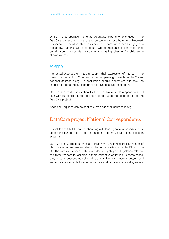While this collaboration is to be voluntary, experts who engage in the DataCare project will have the opportunity to contribute to a landmark European comparative study on children in care. As experts engaged in the study, National Correspondents will be recognised clearly for their contribution towards demonstrable and lasting change for children in alternative care.

### **To apply**

Interested experts are invited to submit their expression of interest in the form of a Curriculum Vitae and an accompanying cover letter to [Ciaran.](mailto:?subject=) [odonnell@eurochild.org](mailto:?subject=). An application should clearly set out how the candidate meets the outlined profile for National Correspondents.

Upon a successful application to the role, National Correspondents will sign with Eurochild a Letter of Intent, to formalize their contribution to the DataCare project.

Additional inquiries can be sent to [Ciaran.odonnell@eurochild.org](mailto:?subject=).

### DataCare project National Correspondents

Eurochild and UNICEF are collaborating with leading national-based experts, across the EU and the UK to map national alternative care data collection systems.

Our 'National Correspondents' are already working in research in the area of child protection reform and data collection analysis across the EU and the UK. They are well-versed with data collection, policy and legislation relevant to alternative care for children in their respective countries. In some cases, they already possess established relationships with national and/or local authorities responsible for alternative care and national statistical agencies.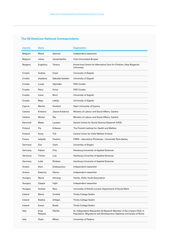### **The 58 DataCare National Correspondents**

| Country  | <b>Name</b>     |                 | <b>Organisation</b>                                                                                                                        |
|----------|-----------------|-----------------|--------------------------------------------------------------------------------------------------------------------------------------------|
| Belgium  | Maud            | Stiernet        | Independent researcher                                                                                                                     |
| Belgium  | Johan           | Vanderfaeillie  | Vrije Universiteit Brussel                                                                                                                 |
| Bulgaria | Evgeniya        | Toneva          | Know-how Centre for Alternative Care for Children, New Bulgarian<br>University                                                             |
| Croatia  | Andrea          | Ćosić           | University of Zagreb                                                                                                                       |
| Croatia  | Snježana        | Sekušak-Galešev | University of Zagreb                                                                                                                       |
| Croatia  | Lucija          | Vejmelka        | <b>FICE Croatia</b>                                                                                                                        |
| Croatia  | Petra           | Hrvoj           | <b>FICE Croatia</b>                                                                                                                        |
| Croatia  | Ivana           | <b>Boric</b>    | University of Zagreb                                                                                                                       |
| Croatia  | Maja            | Laklija         | University of Zagreb                                                                                                                       |
| Cyprus   | <b>Marios</b>   | Kantaris        | Open University of Cyprus                                                                                                                  |
| Czechia  | Kristýna        | Jůzová Kotalová | Ministry of Labour and Social Affairs, Czechia                                                                                             |
| Czechia  | Michal          | Šíp             | Ministry of Labour and Social Affairs, Czechia                                                                                             |
| Denmark  | Mette           | Lausten         | Danish Centre for Social Science Research (VIVE)                                                                                           |
| Finland  | Pia             | Eriksson        | The Finnish Institute for Health and Welfare                                                                                               |
| Finland  | Anna            | Tiili           | Central Union for Child Welfare Finland                                                                                                    |
| France   | Isabelle        | Frechon         | CNRS - laboratoire Printemps - Université Paris Saclay                                                                                     |
| Germany  | Zoe             | Clark           | University of Siegen                                                                                                                       |
| Germany  | Fabian          | Fritz           | Hamburg University of Applied Sciences                                                                                                     |
| Germany  | Tilman          | Lutz            | Hamburg University of Applied Sciences                                                                                                     |
| Germany  | Lotte           | Pörksen         | Hamburg University of Applied Sciences                                                                                                     |
| Greece   | Eleni           | Drakopoulou     | Independent researcher                                                                                                                     |
| Greece   | Katerina        | Nanou           | Independent researcher                                                                                                                     |
| Hungary  | Maria           | Herczog         | Family, Child, Youth Association                                                                                                           |
| Hungary  | Gaspar          | Fajth           | Independent researcher                                                                                                                     |
| Hungary  | Andrea          | Racz            | University of Eötvös Loránd, Department of Social Work                                                                                     |
| Ireland  | Maria           | Corbett         | <b>Trinity College Dublin</b>                                                                                                              |
| Ireland  | Robbie          | Gilligan        | <b>Trinity College Dublin</b>                                                                                                              |
| Ireland  | Eavan           | <b>Brady</b>    | <b>Trinity College Dublin</b>                                                                                                              |
| Italy    | Enza<br>Roberta | Petrillo        | Sr. Independent Researcher & Research Member of the Unesco Chair in<br>Population, Migrations and Development, Sapienza University of Rome |
| Italy    | Paola           | Milani          | University of Padova                                                                                                                       |
|          |                 |                 |                                                                                                                                            |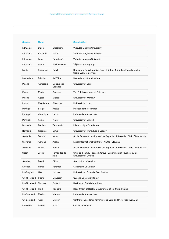| Lithuania<br>Dalija<br>Snieškienė<br><b>Vytautas Magnus University</b><br>Kirka<br>Vytautas<br><b>Vytautas Magnus University</b><br>Lithuania<br>Lithuania<br>Ilona<br>Tamutienė<br><b>Vytautas Magnus University</b><br>VŠJ Auto moto group<br>Lithuania<br>Misiukoniene<br>Laura<br>Malta<br>Remenda<br>Grech<br>Directorate for Alternative Care (Children & Youths), Foundation for<br><b>Social Welfare Services</b><br>Netherlands<br>Erik Jan<br>de Wilde<br>Netherlands Youth Institute<br>Golczyńska-<br>University of Lodz<br>Agnieszka<br>Grondas<br>Poland<br>Marta<br>Danecka<br>The Polish Academy of Sciences<br>Poland<br><b>Skalec</b><br>University of Warsaw<br>Agata<br>Poland<br>Magdalena<br>Błaszczyk<br>University of Lodz<br>Sergio<br>Araújo<br>Independent researcher<br>Portugal<br>Véronique<br>Lerch<br>Independent researcher<br>Vânia<br>Pinto<br>University of Oxford<br>Romania<br>Daniela<br>Tarnovschi<br>Life and Light Foundation<br>Romania<br>Gabriela<br>Dima<br>University of Transylvania Brasov<br>Slovenia<br>Tamara<br>Narat<br>Social Protection Institute of the Republic of Slovenia - Child Observatory<br>Adriana<br>Aralica<br>Legal-Informational Centre for NGOs - Slovenia<br>Urban<br>Boljka<br>Social Protection Institute of the Republic of Slovenia - Child Observatory<br>Fernandez del<br>Child and Family Research Group, Department of Psychology at<br>Jorge<br>Valle<br>University of Oviedo<br>David<br>Pålsson<br>Sweden<br><b>Stockholm University</b><br>Sweden<br>Hilma<br>Stockholm University<br>Forsman<br>University of Oxford's Rees Centre<br>UK-England<br>Lisa<br>Holmes<br>McCartan<br><b>Queens University Belfast</b><br>UK-N. Ireland<br>Claire<br><b>Health and Social Care Board</b><br>UK-N. Ireland<br>Thomas<br>Doherty<br>UK-N. Ireland<br>Heidi<br>Rodgers<br>Department of Health, Government of Northern Ireland<br>Macleod<br>UK-Scotland<br>Marion<br>Independent researcher<br>McTier<br>Centre for Excellence for Children's Care and Protection (CELCIS)<br>UK-Scotland<br>Alex<br>Martin<br>Elliot<br><b>Cardiff University</b> | Country         | <b>Name</b> | <b>Organisation</b> |
|-----------------------------------------------------------------------------------------------------------------------------------------------------------------------------------------------------------------------------------------------------------------------------------------------------------------------------------------------------------------------------------------------------------------------------------------------------------------------------------------------------------------------------------------------------------------------------------------------------------------------------------------------------------------------------------------------------------------------------------------------------------------------------------------------------------------------------------------------------------------------------------------------------------------------------------------------------------------------------------------------------------------------------------------------------------------------------------------------------------------------------------------------------------------------------------------------------------------------------------------------------------------------------------------------------------------------------------------------------------------------------------------------------------------------------------------------------------------------------------------------------------------------------------------------------------------------------------------------------------------------------------------------------------------------------------------------------------------------------------------------------------------------------------------------------------------------------------------------------------------------------------------------------------------------------------------------------------------------------------------------------------------------------------------------------------------------------------------------------------------------------------|-----------------|-------------|---------------------|
|                                                                                                                                                                                                                                                                                                                                                                                                                                                                                                                                                                                                                                                                                                                                                                                                                                                                                                                                                                                                                                                                                                                                                                                                                                                                                                                                                                                                                                                                                                                                                                                                                                                                                                                                                                                                                                                                                                                                                                                                                                                                                                                                   |                 |             |                     |
|                                                                                                                                                                                                                                                                                                                                                                                                                                                                                                                                                                                                                                                                                                                                                                                                                                                                                                                                                                                                                                                                                                                                                                                                                                                                                                                                                                                                                                                                                                                                                                                                                                                                                                                                                                                                                                                                                                                                                                                                                                                                                                                                   |                 |             |                     |
|                                                                                                                                                                                                                                                                                                                                                                                                                                                                                                                                                                                                                                                                                                                                                                                                                                                                                                                                                                                                                                                                                                                                                                                                                                                                                                                                                                                                                                                                                                                                                                                                                                                                                                                                                                                                                                                                                                                                                                                                                                                                                                                                   |                 |             |                     |
|                                                                                                                                                                                                                                                                                                                                                                                                                                                                                                                                                                                                                                                                                                                                                                                                                                                                                                                                                                                                                                                                                                                                                                                                                                                                                                                                                                                                                                                                                                                                                                                                                                                                                                                                                                                                                                                                                                                                                                                                                                                                                                                                   |                 |             |                     |
|                                                                                                                                                                                                                                                                                                                                                                                                                                                                                                                                                                                                                                                                                                                                                                                                                                                                                                                                                                                                                                                                                                                                                                                                                                                                                                                                                                                                                                                                                                                                                                                                                                                                                                                                                                                                                                                                                                                                                                                                                                                                                                                                   |                 |             |                     |
|                                                                                                                                                                                                                                                                                                                                                                                                                                                                                                                                                                                                                                                                                                                                                                                                                                                                                                                                                                                                                                                                                                                                                                                                                                                                                                                                                                                                                                                                                                                                                                                                                                                                                                                                                                                                                                                                                                                                                                                                                                                                                                                                   |                 |             |                     |
|                                                                                                                                                                                                                                                                                                                                                                                                                                                                                                                                                                                                                                                                                                                                                                                                                                                                                                                                                                                                                                                                                                                                                                                                                                                                                                                                                                                                                                                                                                                                                                                                                                                                                                                                                                                                                                                                                                                                                                                                                                                                                                                                   | Poland          |             |                     |
|                                                                                                                                                                                                                                                                                                                                                                                                                                                                                                                                                                                                                                                                                                                                                                                                                                                                                                                                                                                                                                                                                                                                                                                                                                                                                                                                                                                                                                                                                                                                                                                                                                                                                                                                                                                                                                                                                                                                                                                                                                                                                                                                   |                 |             |                     |
|                                                                                                                                                                                                                                                                                                                                                                                                                                                                                                                                                                                                                                                                                                                                                                                                                                                                                                                                                                                                                                                                                                                                                                                                                                                                                                                                                                                                                                                                                                                                                                                                                                                                                                                                                                                                                                                                                                                                                                                                                                                                                                                                   |                 |             |                     |
|                                                                                                                                                                                                                                                                                                                                                                                                                                                                                                                                                                                                                                                                                                                                                                                                                                                                                                                                                                                                                                                                                                                                                                                                                                                                                                                                                                                                                                                                                                                                                                                                                                                                                                                                                                                                                                                                                                                                                                                                                                                                                                                                   |                 |             |                     |
|                                                                                                                                                                                                                                                                                                                                                                                                                                                                                                                                                                                                                                                                                                                                                                                                                                                                                                                                                                                                                                                                                                                                                                                                                                                                                                                                                                                                                                                                                                                                                                                                                                                                                                                                                                                                                                                                                                                                                                                                                                                                                                                                   |                 |             |                     |
|                                                                                                                                                                                                                                                                                                                                                                                                                                                                                                                                                                                                                                                                                                                                                                                                                                                                                                                                                                                                                                                                                                                                                                                                                                                                                                                                                                                                                                                                                                                                                                                                                                                                                                                                                                                                                                                                                                                                                                                                                                                                                                                                   | Portugal        |             |                     |
|                                                                                                                                                                                                                                                                                                                                                                                                                                                                                                                                                                                                                                                                                                                                                                                                                                                                                                                                                                                                                                                                                                                                                                                                                                                                                                                                                                                                                                                                                                                                                                                                                                                                                                                                                                                                                                                                                                                                                                                                                                                                                                                                   | Portugal        |             |                     |
|                                                                                                                                                                                                                                                                                                                                                                                                                                                                                                                                                                                                                                                                                                                                                                                                                                                                                                                                                                                                                                                                                                                                                                                                                                                                                                                                                                                                                                                                                                                                                                                                                                                                                                                                                                                                                                                                                                                                                                                                                                                                                                                                   |                 |             |                     |
|                                                                                                                                                                                                                                                                                                                                                                                                                                                                                                                                                                                                                                                                                                                                                                                                                                                                                                                                                                                                                                                                                                                                                                                                                                                                                                                                                                                                                                                                                                                                                                                                                                                                                                                                                                                                                                                                                                                                                                                                                                                                                                                                   |                 |             |                     |
|                                                                                                                                                                                                                                                                                                                                                                                                                                                                                                                                                                                                                                                                                                                                                                                                                                                                                                                                                                                                                                                                                                                                                                                                                                                                                                                                                                                                                                                                                                                                                                                                                                                                                                                                                                                                                                                                                                                                                                                                                                                                                                                                   |                 |             |                     |
|                                                                                                                                                                                                                                                                                                                                                                                                                                                                                                                                                                                                                                                                                                                                                                                                                                                                                                                                                                                                                                                                                                                                                                                                                                                                                                                                                                                                                                                                                                                                                                                                                                                                                                                                                                                                                                                                                                                                                                                                                                                                                                                                   | Slovenia        |             |                     |
|                                                                                                                                                                                                                                                                                                                                                                                                                                                                                                                                                                                                                                                                                                                                                                                                                                                                                                                                                                                                                                                                                                                                                                                                                                                                                                                                                                                                                                                                                                                                                                                                                                                                                                                                                                                                                                                                                                                                                                                                                                                                                                                                   | Slovenia        |             |                     |
|                                                                                                                                                                                                                                                                                                                                                                                                                                                                                                                                                                                                                                                                                                                                                                                                                                                                                                                                                                                                                                                                                                                                                                                                                                                                                                                                                                                                                                                                                                                                                                                                                                                                                                                                                                                                                                                                                                                                                                                                                                                                                                                                   | Spain           |             |                     |
|                                                                                                                                                                                                                                                                                                                                                                                                                                                                                                                                                                                                                                                                                                                                                                                                                                                                                                                                                                                                                                                                                                                                                                                                                                                                                                                                                                                                                                                                                                                                                                                                                                                                                                                                                                                                                                                                                                                                                                                                                                                                                                                                   |                 |             |                     |
|                                                                                                                                                                                                                                                                                                                                                                                                                                                                                                                                                                                                                                                                                                                                                                                                                                                                                                                                                                                                                                                                                                                                                                                                                                                                                                                                                                                                                                                                                                                                                                                                                                                                                                                                                                                                                                                                                                                                                                                                                                                                                                                                   |                 |             |                     |
|                                                                                                                                                                                                                                                                                                                                                                                                                                                                                                                                                                                                                                                                                                                                                                                                                                                                                                                                                                                                                                                                                                                                                                                                                                                                                                                                                                                                                                                                                                                                                                                                                                                                                                                                                                                                                                                                                                                                                                                                                                                                                                                                   |                 |             |                     |
|                                                                                                                                                                                                                                                                                                                                                                                                                                                                                                                                                                                                                                                                                                                                                                                                                                                                                                                                                                                                                                                                                                                                                                                                                                                                                                                                                                                                                                                                                                                                                                                                                                                                                                                                                                                                                                                                                                                                                                                                                                                                                                                                   |                 |             |                     |
|                                                                                                                                                                                                                                                                                                                                                                                                                                                                                                                                                                                                                                                                                                                                                                                                                                                                                                                                                                                                                                                                                                                                                                                                                                                                                                                                                                                                                                                                                                                                                                                                                                                                                                                                                                                                                                                                                                                                                                                                                                                                                                                                   |                 |             |                     |
|                                                                                                                                                                                                                                                                                                                                                                                                                                                                                                                                                                                                                                                                                                                                                                                                                                                                                                                                                                                                                                                                                                                                                                                                                                                                                                                                                                                                                                                                                                                                                                                                                                                                                                                                                                                                                                                                                                                                                                                                                                                                                                                                   |                 |             |                     |
|                                                                                                                                                                                                                                                                                                                                                                                                                                                                                                                                                                                                                                                                                                                                                                                                                                                                                                                                                                                                                                                                                                                                                                                                                                                                                                                                                                                                                                                                                                                                                                                                                                                                                                                                                                                                                                                                                                                                                                                                                                                                                                                                   |                 |             |                     |
|                                                                                                                                                                                                                                                                                                                                                                                                                                                                                                                                                                                                                                                                                                                                                                                                                                                                                                                                                                                                                                                                                                                                                                                                                                                                                                                                                                                                                                                                                                                                                                                                                                                                                                                                                                                                                                                                                                                                                                                                                                                                                                                                   |                 |             |                     |
|                                                                                                                                                                                                                                                                                                                                                                                                                                                                                                                                                                                                                                                                                                                                                                                                                                                                                                                                                                                                                                                                                                                                                                                                                                                                                                                                                                                                                                                                                                                                                                                                                                                                                                                                                                                                                                                                                                                                                                                                                                                                                                                                   | <b>UK-Wales</b> |             |                     |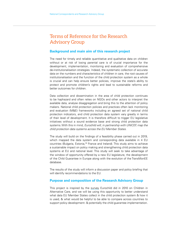## Terms of Reference for the Research Advisory Group

### **Background and main aim of this research project**

The need for timely and reliable quantitative and qualitative data on children without or at risk of losing parental care is of crucial importance for the development, implementation, monitoring and evaluation of comprehensive de-institutionalisation strategies. Indeed, the systematic collection of accurate data on the numbers and characteristics of children in care, the root causes of institutionalisation and the function of the child protection system as a whole is crucial and can help ensure better policies, improve the state's ability to protect and promote children's rights and lead to sustainable reforms and better outcomes for children.

Data collection and dissemination in the area of child protection continues to be haphazard and often relies on NGOs and other actors to interpret the available data, analyse disaggregation and bring this to the attention of policy makers. National child protection policies and practices often lack monitoring and evaluation (M&E) frameworks including an agreed set of national child protection indicators, and child protection data system vary greatly in terms of their level of development. It is therefore difficult to trigger EU legislative initiatives without a sound evidence base and strong child protection data systems. With this in mind, Eurochild will, in partnership with UNICEF, map the child protection data systems across the EU Member States.

The study will build on the findings of a feasibility phase carried out in 2019, which mapped the data system and corresponding data available in 4 EU countries (Bulgaria, Estonia,<sup>39</sup> France and Ireland). This study aims to achieve a sustainable impact on policy making and strengthening child protection data systems at EU and national level. This study will seek to take advantage of the window of opportunity offered by a new EU legislature, the development of the Child Guarantee in Europe along with the evolution of the TransMonEE database.

The results of the study will inform a discussion paper and policy briefing that will identify recommendations to the EU.

#### **Purpose and composition of the Research Advisory Group**

This project is inspired by the [survey](https://www.eurochild.org/policy/library-details/article/national-surveys-on-children-in-alternative-care-2nd-edition/?tx_news_pi1%5Bcontroller%5D=News&tx_news_pi1%5Baction%5D=detail&cHash=f78d80ae85407aaa5868085142f4f2de) Eurochild did in 2010 on Children in Alternative Care, and we will be using this opportunity to better understand what data EU Member States collect in the child protection system & how it is used, & what would be helpful to be able to compare across countries to support policy development- & potentially the child guarantee implementation.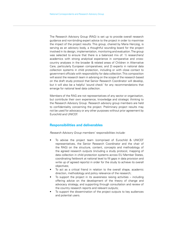The Research Advisory Group (RAG) is set up to provide overall research guidance and non-binding expert advice to the project in order to maximise the impact of the project results. This group, chaired by Maria Herczog, is serving as an advisory body, a thoughtful sounding board for the project involved in its design, implementation, monitoring and evaluation. The group was selected to ensure that there is a balanced mix of: 1) researchers/ academics with strong analytical experience in comparative and crosscountry analyses in the broader & related areas of Children in Alternative Care, particularly European comparatives; and 2) experts in national data collection systems in child protection, including or with close contact to government officials with responsibility for data collection. This composition will assist the research team in advising on the scope of the research based on the draft study protocol that Senior Research Coordinator will develop, but it will also be a helpful 'sound check' for any recommendations that emerge for national level data collection.

Members of the RAG are not representatives of any sector or organisation, but contribute their own experience, knowledge and strategic thinking to the Research Advisory Group. Research advisory group members are held to confidentiality concerning the project. Preliminary project results may not be used for advocacy or any other purposes without prior agreement by Eurochild and UNICEF.

### **Responsibilities and deliverables**

Research Advisory Group members' responsibilities include:

- To advise the project team (comprised of Eurochild & UNICEF representatives, the Senior Research Coordinator and the chair of the RAG) on the structure, content, concepts and methodology of the agreed research outputs (including a study protocol, mapping of data collection in child protection systems across EU Member States, coordinating fieldwork at national level to fill gaps in data provision and write up of agreed reports) in order for the study to achieve its overall objectives;
- To act as a critical friend in relation to the overall shape, academic direction, methodology and policy relevance of the research;
- To support the project in its awareness raising activities  $-$  including offering advice on the development of the theory of change and advocacy strategy, and supporting through consultation and review of the country research reports and relevant outputs;
- To support the dissemination of the project outputs to key audiences and potential users.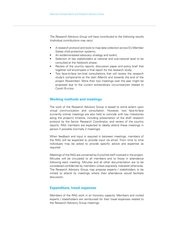The Research Advisory Group will have contributed to the following results (individual contributions may vary):

- A research protocol and tools to map data collection across EU Member States child protection systems;
- An evidence-based advocacy strategy and toolkit;
- Selection of key stakeholders at national and sub-national level to be consulted at the fieldwork phase;
- Review of the country reports, discussion paper and policy brief that together will encompass a final report for the research study;
- Two face-to-face (on-line) consultations that will review the research study's components at the start (March) and towards the end of the project (November). More than two meetings over the year might be proposed due to the current extraordinary circumstances related to Covid-19 crisis.

### **Working methods and meetings**

The work of the Research Advisory Group is based to some extent upon virtual communication and consultation. However, two face-to-face (currently online) meetings are also held to coincide with key milestones along the project's timeline, including presentation of the draft research protocol by the Senior Research Coordinator, and review of the country reports. RAG members are expected to ideally attend these meetings in person if possible (normally 2 meetings).

When feedback and input is required in between meetings, members of the RAG will be expected to provide input via email. From time to time individuals may be asked to provide specific advice and expertise as required.

Meetings of the RAG are convened by Eurochild staff involved in the project. Minutes will be circulated to all members and to those in attendance following each meeting. Minutes and all other documentation are to be considered confidential by members unless expressly indicated otherwise. The Research Advisory Group may propose experts / stakeholders to be invited to attend its meetings where their attendance would facilitate discussion.

#### **Expenditure, travel expenses**

Members of the RAG work in an honorary capacity. Members and invited experts / stakeholders are reimbursed for their travel expenses related to the Research Advisory Group meetings.